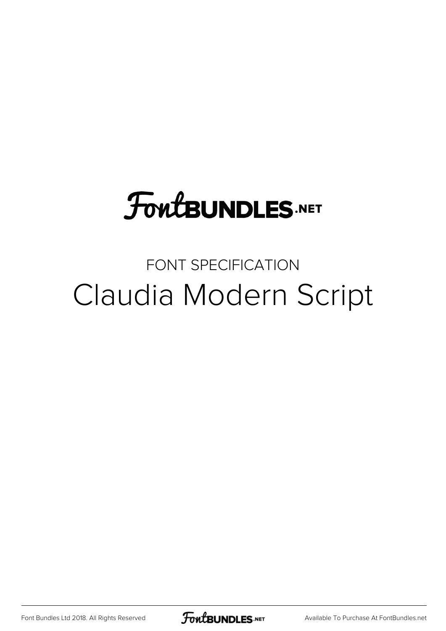## **FoutBUNDLES.NET**

## FONT SPECIFICATION Claudia Modern Script

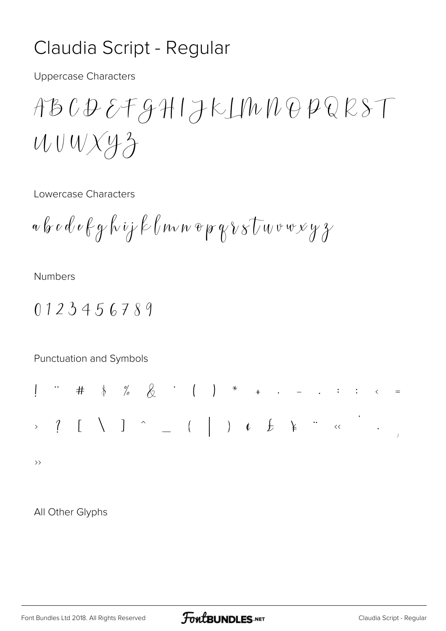## Claudia Script - Regular

**Uppercase Characters** 

$$
ABCDEFGHIJKLIMDOPQESTUUUXY3
$$

Lowercase Characters

$$
a\,b\,c\,d\,e\,f\,g\,k\,ij\,k\,l\,mv\,v\,g\,p\,g\,\nu\,s\,U\,w\,v\,w\,y\,y\,z
$$

**Numbers** 

$$
0123456789
$$

Punctuation and Symbols

All Other Glyphs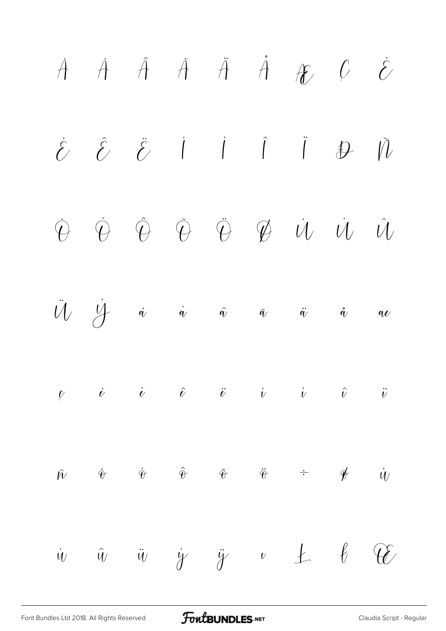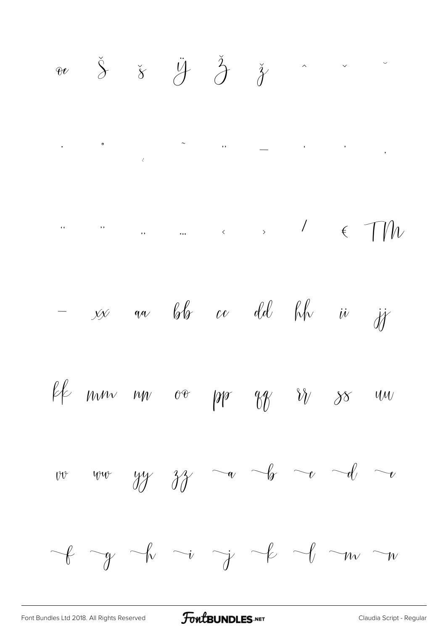